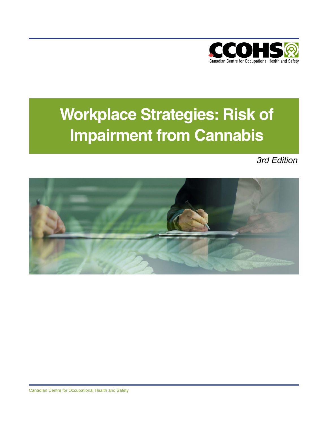

# **Workplace Strategies: Risk of Impairment from Cannabis**

*3rd Edition*

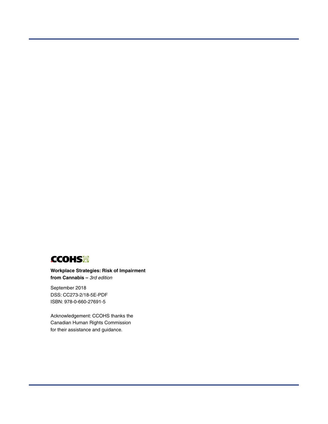

**Workplace Strategies: Risk of Impairment from Cannabis –** *3rd edition*

September 2018 DSS: CC273-2/18-5E-PDF ISBN: 978-0-660-27691-5

Acknowledgement: CCOHS thanks the Canadian Human Rights Commission for their assistance and guidance.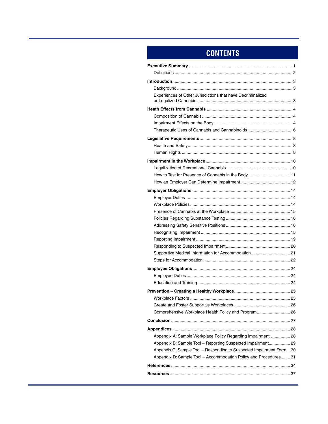# **CONTENTS**

| Experiences of Other Jurisdictions that have Decriminalized          |  |
|----------------------------------------------------------------------|--|
|                                                                      |  |
|                                                                      |  |
|                                                                      |  |
|                                                                      |  |
|                                                                      |  |
|                                                                      |  |
|                                                                      |  |
|                                                                      |  |
|                                                                      |  |
| How to Test for Presence of Cannabis in the Body  11                 |  |
|                                                                      |  |
|                                                                      |  |
|                                                                      |  |
|                                                                      |  |
|                                                                      |  |
|                                                                      |  |
|                                                                      |  |
|                                                                      |  |
|                                                                      |  |
|                                                                      |  |
| Supportive Medical Information for Accommodation 21                  |  |
|                                                                      |  |
|                                                                      |  |
|                                                                      |  |
|                                                                      |  |
|                                                                      |  |
|                                                                      |  |
|                                                                      |  |
| Comprehensive Workplace Health Policy and Program 26                 |  |
|                                                                      |  |
|                                                                      |  |
| Appendix A: Sample Workplace Policy Regarding Impairment  28         |  |
| Appendix B: Sample Tool - Reporting Suspected Impairment 29          |  |
| Appendix C: Sample Tool - Responding to Suspected Impairment Form 30 |  |
| Appendix D: Sample Tool - Accommodation Policy and Procedures 31     |  |
|                                                                      |  |
|                                                                      |  |
|                                                                      |  |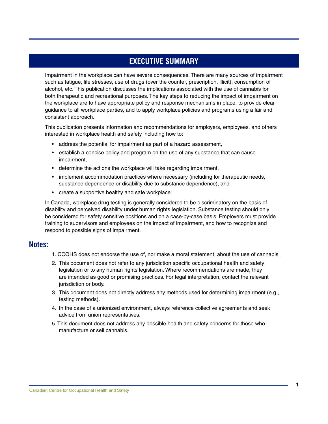# **EXECUTIVE SUMMARY**

<span id="page-4-0"></span>Impairment in the workplace can have severe consequences. There are many sources of impairment such as fatigue, life stresses, use of drugs (over the counter, prescription, illicit), consumption of alcohol, etc. This publication discusses the implications associated with the use of cannabis for both therapeutic and recreational purposes. The key steps to reducing the impact of impairment on the workplace are to have appropriate policy and response mechanisms in place, to provide clear guidance to all workplace parties, and to apply workplace policies and programs using a fair and consistent approach.

This publication presents information and recommendations for employers, employees, and others interested in workplace health and safety including how to:

- address the potential for impairment as part of a hazard assessment,
- establish a concise policy and program on the use of any substance that can cause impairment,
- determine the actions the workplace will take regarding impairment,
- implement accommodation practices where necessary (including for therapeutic needs, substance dependence or disability due to substance dependence), and
- create a supportive healthy and safe workplace.

In Canada, workplace drug testing is generally considered to be discriminatory on the basis of disability and perceived disability under human rights legislation. Substance testing should only be considered for safety sensitive positions and on a case-by-case basis. Employers must provide training to supervisors and employees on the impact of impairment, and how to recognize and respond to possible signs of impairment.

#### **Notes:**

- 1. CCOHS does not endorse the use of, nor make a moral statement, about the use of cannabis.
- 2. This document does not refer to any jurisdiction specific occupational health and safety legislation or to any human rights legislation. Where recommendations are made, they are intended as good or promising practices. For legal interpretation, contact the relevant jurisdiction or body.
- 3. This document does not directly address any methods used for determining impairment (e.g., testing methods).
- 4. In the case of a unionized environment, always reference collective agreements and seek advice from union representatives.
- 5. This document does not address any possible health and safety concerns for those who manufacture or sell cannabis.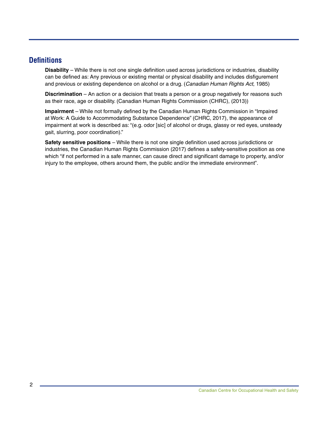#### <span id="page-5-0"></span>**Definitions**

**Disability** – While there is not one single definition used across jurisdictions or industries, disability can be defined as: Any previous or existing mental or physical disability and includes disfigurement and previous or existing dependence on alcohol or a drug. (*Canadian Human Rights Act*, 1985)

**Discrimination** – An action or a decision that treats a person or a group negatively for reasons such as their race, age or disability. (Canadian Human Rights Commission (CHRC), (2013))

**Impairment** – While not formally defined by the Canadian Human Rights Commission in "Impaired at Work: A Guide to Accommodating Substance Dependence" (CHRC, 2017), the appearance of impairment at work is described as: "(e.g. odor [sic] of alcohol or drugs, glassy or red eyes, unsteady gait, slurring, poor coordination)."

**Safety sensitive positions** – While there is not one single definition used across jurisdictions or industries, the Canadian Human Rights Commission (2017) defines a safety-sensitive position as one which "if not performed in a safe manner, can cause direct and significant damage to property, and/or injury to the employee, others around them, the public and/or the immediate environment".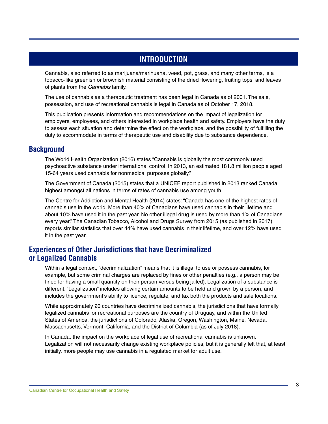# **INTRODUCTION**

<span id="page-6-0"></span>Cannabis, also referred to as marijuana/marihuana, weed, pot, grass, and many other terms, is a tobacco-like greenish or brownish material consisting of the dried flowering, fruiting tops, and leaves of plants from the *Cannabis* family.

The use of cannabis as a therapeutic treatment has been legal in Canada as of 2001. The sale, possession, and use of recreational cannabis is legal in Canada as of October 17, 2018.

This publication presents information and recommendations on the impact of legalization for employers, employees, and others interested in workplace health and safety. Employers have the duty to assess each situation and determine the effect on the workplace, and the possibility of fulfilling the duty to accommodate in terms of therapeutic use and disability due to substance dependence.

#### **Background**

The World Health Organization (2016) states "Cannabis is globally the most commonly used psychoactive substance under international control. In 2013, an estimated 181.8 million people aged 15-64 years used cannabis for nonmedical purposes globally."

The Government of Canada (2015) states that a UNICEF report published in 2013 ranked Canada highest amongst all nations in terms of rates of cannabis use among youth.

The Centre for Addiction and Mental Health (2014) states: "Canada has one of the highest rates of cannabis use in the world. More than 40% of Canadians have used cannabis in their lifetime and about 10% have used it in the past year. No other illegal drug is used by more than 1% of Canadians every year." The Canadian Tobacco, Alcohol and Drugs Survey from 2015 (as published in 2017) reports similar statistics that over 44% have used cannabis in their lifetime, and over 12% have used it in the past year.

### **Experiences of Other Jurisdictions that have Decriminalized or Legalized Cannabis**

Within a legal context, "decriminalization" means that it is illegal to use or possess cannabis, for example, but some criminal charges are replaced by fines or other penalties (e.g., a person may be fined for having a small quantity on their person versus being jailed). Legalization of a substance is different. "Legalization" includes allowing certain amounts to be held and grown by a person, and includes the government's ability to licence, regulate, and tax both the products and sale locations.

While approximately 20 countries have decriminalized cannabis, the jurisdictions that have formally legalized cannabis for recreational purposes are the country of Uruguay, and within the United States of America, the jurisdictions of Colorado, Alaska, Oregon, Washington, Maine, Nevada, Massachusetts, Vermont, California, and the District of Columbia (as of July 2018).

In Canada, the impact on the workplace of legal use of recreational cannabis is unknown. Legalization will not necessarily change existing workplace policies, but it is generally felt that, at least initially, more people may use cannabis in a regulated market for adult use.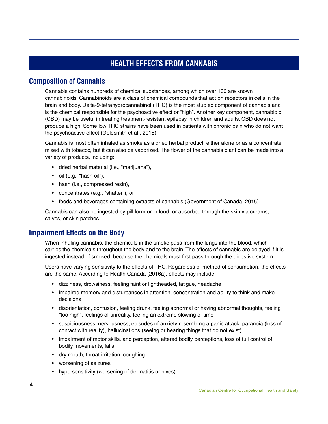# **HEALTH EFFECTS FROM CANNABIS**

#### <span id="page-7-0"></span>**Composition of Cannabis**

Cannabis contains hundreds of chemical substances, among which over 100 are known cannabinoids. Cannabinoids are a class of chemical compounds that act on receptors in cells in the brain and body. Delta-9-tetrahydrocannabinol (THC) is the most studied component of cannabis and is the chemical responsible for the psychoactive effect or "high". Another key component, cannabidiol (CBD) may be useful in treating treatment-resistant epilepsy in children and adults. CBD does not produce a high. Some low THC strains have been used in patients with chronic pain who do not want the psychoactive effect (Goldsmith et al., 2015).

Cannabis is most often inhaled as smoke as a dried herbal product, either alone or as a concentrate mixed with tobacco, but it can also be vaporized. The flower of the cannabis plant can be made into a variety of products, including:

- dried herbal material (i.e., "marijuana"),
- oil (e.g., "hash oil"),
- hash (i.e., compressed resin),
- concentrates (e.g., "shatter"), or
- foods and beverages containing extracts of cannabis (Government of Canada, 2015).

Cannabis can also be ingested by pill form or in food, or absorbed through the skin via creams, salves, or skin patches.

#### **Impairment Effects on the Body**

When inhaling cannabis, the chemicals in the smoke pass from the lungs into the blood, which carries the chemicals throughout the body and to the brain. The effects of cannabis are delayed if it is ingested instead of smoked, because the chemicals must first pass through the digestive system.

Users have varying sensitivity to the effects of THC. Regardless of method of consumption, the effects are the same. According to Health Canada (2016a), effects may include:

- dizziness, drowsiness, feeling faint or lightheaded, fatigue, headache
- impaired memory and disturbances in attention, concentration and ability to think and make decisions
- disorientation, confusion, feeling drunk, feeling abnormal or having abnormal thoughts, feeling "too high", feelings of unreality, feeling an extreme slowing of time
- suspiciousness, nervousness, episodes of anxiety resembling a panic attack, paranoia (loss of contact with reality), hallucinations (seeing or hearing things that do not exist)
- impairment of motor skills, and perception, altered bodily perceptions, loss of full control of bodily movements, falls
- dry mouth, throat irritation, coughing
- worsening of seizures
- hypersensitivity (worsening of dermatitis or hives)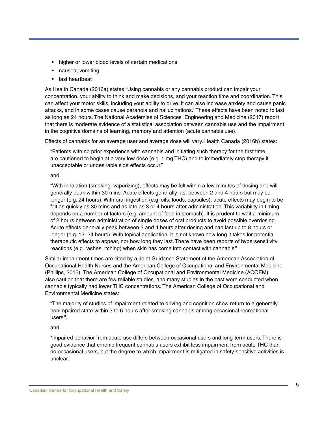- higher or lower blood levels of certain medications
- nausea, vomiting
- fast heartbeat

As Health Canada (2016a) states "Using cannabis or any cannabis product can impair your concentration, your ability to think and make decisions, and your reaction time and coordination. This can affect your motor skills, including your ability to drive. It can also increase anxiety and cause panic attacks, and in some cases cause paranoia and hallucinations." These effects have been noted to last as long as 24 hours. The National Academies of Sciences, Engineering and Medicine (2017) report that there is moderate evidence of a statistical association between cannabis use and the impairment in the cognitive domains of learning, memory and attention (acute cannabis use).

Effects of cannabis for an average user and average dose will vary. Health Canada (2016b) states:

"Patients with no prior experience with cannabis and initiating such therapy for the first time are cautioned to begin at a very low dose (e.g. 1 mg THC) and to immediately stop therapy if unacceptable or undesirable side effects occur."

#### and

"With inhalation (smoking, vaporizing), effects may be felt within a few minutes of dosing and will generally peak within 30 mins. Acute effects generally last between 2 and 4 hours but may be longer (e.g. 24 hours). With oral ingestion (e.g. oils, foods, capsules), acute effects may begin to be felt as quickly as 30 mins and as late as 3 or 4 hours after administration. This variability in timing depends on a number of factors (e.g. amount of food in stomach). It is prudent to wait a minimum of 2 hours between administration of single doses of oral products to avoid possible overdosing. Acute effects generally peak between 3 and 4 hours after dosing and can last up to 8 hours or longer (e.g. 12–24 hours). With topical application, it is not known how long it takes for potential therapeutic effects to appear, nor how long they last. There have been reports of hypersensitivity reactions (e.g. rashes, itching) when skin has come into contact with cannabis."

Similar impairment times are cited by a Joint Guidance Statement of the American Association of Occupational Health Nurses and the American College of Occupational and Environmental Medicine. (Phillips, 2015) The American College of Occupational and Environmental Medicine (ACOEM) also caution that there are few reliable studies, and many studies in the past were conducted when cannabis typically had lower THC concentrations. The American College of Occupational and Environmental Medicine states:

"The majority of studies of impairment related to driving and cognition show return to a generally nonimpaired state within 3 to 6 hours after smoking cannabis among occasional recreational users.",

#### and

"Impaired behavior from acute use differs between occasional users and long-term users. There is good evidence that chronic frequent cannabis users exhibit less impairment from acute THC than do occasional users, but the degree to which impairment is mitigated in safety-sensitive activities is unclear."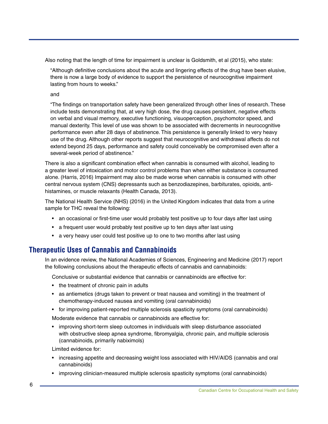<span id="page-9-0"></span>Also noting that the length of time for impairment is unclear is Goldsmith, et al (2015), who state:

"Although definitive conclusions about the acute and lingering effects of the drug have been elusive, there is now a large body of evidence to support the persistence of neurocognitive impairment lasting from hours to weeks."

#### and

"The findings on transportation safety have been generalized through other lines of research. These include tests demonstrating that, at very high dose, the drug causes persistent, negative effects on verbal and visual memory, executive functioning, visuoperception, psychomotor speed, and manual dexterity. This level of use was shown to be associated with decrements in neurocognitive performance even after 28 days of abstinence. This persistence is generally linked to very heavy use of the drug. Although other reports suggest that neurocognitive and withdrawal affects do not extend beyond 25 days, performance and safety could conceivably be compromised even after a several-week period of abstinence."

There is also a significant combination effect when cannabis is consumed with alcohol, leading to a greater level of intoxication and motor control problems than when either substance is consumed alone. (Harris, 2016) Impairment may also be made worse when cannabis is consumed with other central nervous system (CNS) depressants such as benzodiazepines, barbiturates, opioids, antihistamines, or muscle relaxants (Health Canada, 2013).

The National Health Service (NHS) (2016) in the United Kingdom indicates that data from a urine sample for THC reveal the following:

- an occasional or first-time user would probably test positive up to four days after last using
- a frequent user would probably test positive up to ten days after last using
- a very heavy user could test positive up to one to two months after last using

#### **Therapeutic Uses of Cannabis and Cannabinoids**

In an evidence review, the National Academies of Sciences, Engineering and Medicine (2017) report the following conclusions about the therapeutic effects of cannabis and cannabinoids:

Conclusive or substantial evidence that cannabis or cannabinoids are effective for:

- the treatment of chronic pain in adults
- as antiemetics (drugs taken to prevent or treat nausea and vomiting) in the treatment of chemotherapy-induced nausea and vomiting (oral cannabinoids)
- for improving patient-reported multiple sclerosis spasticity symptoms (oral cannabinoids)

Moderate evidence that cannabis or cannabinoids are effective for:

• improving short-term sleep outcomes in individuals with sleep disturbance associated with obstructive sleep apnea syndrome, fibromyalgia, chronic pain, and multiple sclerosis (cannabinoids, primarily nabiximols)

Limited evidence for:

- increasing appetite and decreasing weight loss associated with HIV/AIDS (cannabis and oral cannabinoids)
- improving clinician-measured multiple sclerosis spasticity symptoms (oral cannabinoids)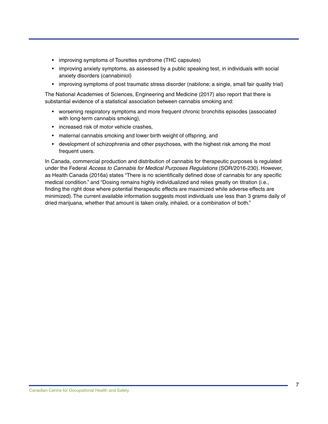- improving symptoms of Tourettes syndrome (THC capsules)
- improving anxiety symptoms, as assessed by a public speaking test, in individuals with social anxiety disorders (cannabiniol)
- improving symptoms of post traumatic stress disorder (nabilone; a single, small fair quality trial)

The National Academies of Sciences, Engineering and Medicine (2017) also report that there is substantial evidence of a statistical association between cannabis smoking and:

- worsening respiratory symptoms and more frequent chronic bronchitis episodes (associated with long-term cannabis smoking),
- increased risk of motor vehicle crashes,
- maternal cannabis smoking and lower birth weight of offspring, and
- development of schizophrenia and other psychoses, with the highest risk among the most frequent users.

In Canada, commercial production and distribution of cannabis for therapeutic purposes is regulated under the Federal *Access to Cannabis for Medical Purposes Regulations* (SOR/2016-230). However, as Health Canada (2016a) states "There is no scientifically defined dose of cannabis for any specific medical condition." and "Dosing remains highly individualized and relies greatly on titration (i.e., finding the right dose where potential therapeutic effects are maximized while adverse effects are minimized). The current available information suggests most individuals use less than 3 grams daily of dried marijuana, whether that amount is taken orally, inhaled, or a combination of both."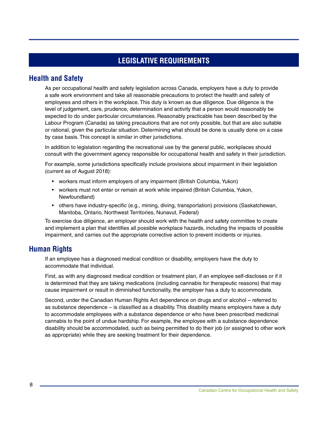# **LEGISLATIVE REQUIREMENTS**

#### <span id="page-11-0"></span>**Health and Safety**

As per occupational health and safety legislation across Canada, employers have a duty to provide a safe work environment and take all reasonable precautions to protect the health and safety of employees and others in the workplace. This duty is known as due diligence. Due diligence is the level of judgement, care, prudence, determination and activity that a person would reasonably be expected to do under particular circumstances. Reasonably practicable has been described by the Labour Program (Canada) as taking precautions that are not only possible, but that are also suitable or rational, given the particular situation. Determining what should be done is usually done on a case by case basis. This concept is similar in other jurisdictions.

In addition to legislation regarding the recreational use by the general public, workplaces should consult with the government agency responsible for occupational health and safety in their jurisdiction.

For example, some jurisdictions specifically include provisions about impairment in their legislation (current as of August 2018):

- workers must inform employers of any impairment (British Columbia, Yukon)
- workers must not enter or remain at work while impaired (British Columbia, Yukon, Newfoundland)
- others have industry-specific (e.g., mining, diving, transportation) provisions (Saskatchewan, Manitoba, Ontario, Northwest Territories, Nunavut, Federal)

To exercise due diligence, an employer should work with the health and safety committee to create and implement a plan that identifies all possible workplace hazards, including the impacts of possible impairment, and carries out the appropriate corrective action to prevent incidents or injuries.

### **Human Rights**

If an employee has a diagnosed medical condition or disability, employers have the duty to accommodate that individual.

First, as with any diagnosed medical condition or treatment plan, if an employee self-discloses or if it is determined that they are taking medications (including cannabis for therapeutic reasons) that may cause impairment or result in diminished functionality, the employer has a duty to accommodate.

Second, under the Canadian Human Rights Act dependence on drugs and or alcohol – referred to as substance dependence – is classified as a disability. This disability means employers have a duty to accommodate employees with a substance dependence or who have been prescribed medicinal cannabis to the point of undue hardship. For example, the employee with a substance dependence disability should be accommodated, such as being permitted to do their job (or assigned to other work as appropriate) while they are seeking treatment for their dependence.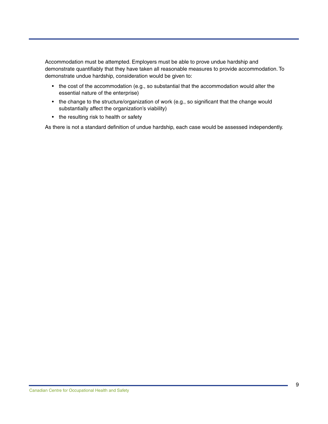Accommodation must be attempted. Employers must be able to prove undue hardship and demonstrate quantifiably that they have taken all reasonable measures to provide accommodation. To demonstrate undue hardship, consideration would be given to:

- the cost of the accommodation (e.g., so substantial that the accommodation would alter the essential nature of the enterprise)
- the change to the structure/organization of work (e.g., so significant that the change would substantially affect the organization's viability)
- the resulting risk to health or safety

As there is not a standard definition of undue hardship, each case would be assessed independently.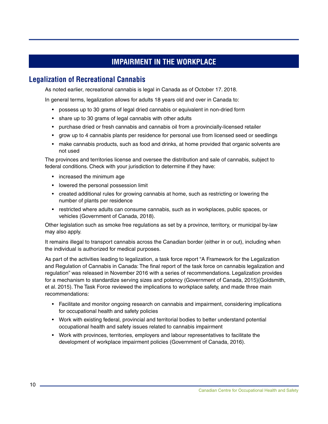# **IMPAIRMENT IN THE WORKPLACE**

### <span id="page-13-0"></span>**Legalization of Recreational Cannabis**

As noted earlier, recreational cannabis is legal in Canada as of October 17. 2018.

In general terms, legalization allows for adults 18 years old and over in Canada to:

- possess up to 30 grams of legal dried cannabis or equivalent in non-dried form
- share up to 30 grams of legal cannabis with other adults
- purchase dried or fresh cannabis and cannabis oil from a provincially-licensed retailer
- grow up to 4 cannabis plants per residence for personal use from licensed seed or seedlings
- make cannabis products, such as food and drinks, at home provided that organic solvents are not used

The provinces and territories license and oversee the distribution and sale of cannabis, subject to federal conditions. Check with your jurisdiction to determine if they have:

- increased the minimum age
- lowered the personal possession limit
- created additional rules for growing cannabis at home, such as restricting or lowering the number of plants per residence
- restricted where adults can consume cannabis, such as in workplaces, public spaces, or vehicles (Government of Canada, 2018).

Other legislation such as smoke free regulations as set by a province, territory, or municipal by-law may also apply.

It remains illegal to transport cannabis across the Canadian border (either in or out), including when the individual is authorized for medical purposes.

As part of the activities leading to legalization, a task force report "A Framework for the Legalization and Regulation of Cannabis in Canada: The final report of the task force on cannabis legalization and regulation" was released in November 2016 with a series of recommendations. Legalization provides for a mechanism to standardize serving sizes and potency (Government of Canada, 2015)(Goldsmith, et al. 2015). The Task Force reviewed the implications to workplace safety, and made three main recommendations:

- Facilitate and monitor ongoing research on cannabis and impairment, considering implications for occupational health and safety policies
- Work with existing federal, provincial and territorial bodies to better understand potential occupational health and safety issues related to cannabis impairment
- Work with provinces, territories, employers and labour representatives to facilitate the development of workplace impairment policies (Government of Canada, 2016).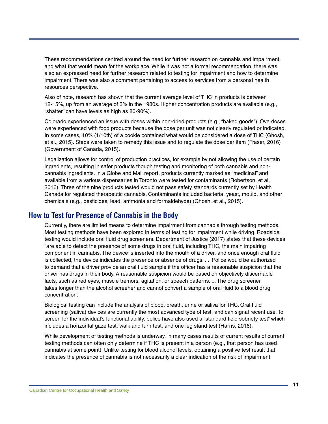<span id="page-14-0"></span>These recommendations centred around the need for further research on cannabis and impairment, and what that would mean for the workplace. While it was not a formal recommendation, there was also an expressed need for further research related to testing for impairment and how to determine impairment. There was also a comment pertaining to access to services from a personal health resources perspective.

Also of note, research has shown that the current average level of THC in products is between 12-15%, up from an average of 3% in the 1980s. Higher concentration products are available (e.g., "shatter" can have levels as high as 80-90%).

Colorado experienced an issue with doses within non-dried products (e.g., "baked goods"). Overdoses were experienced with food products because the dose per unit was not clearly regulated or indicated. In some cases, 10% (1/10th) of a cookie contained what would be considered a dose of THC (Ghosh, et al., 2015). Steps were taken to remedy this issue and to regulate the dose per item (Fraser, 2016) (Government of Canada, 2015).

Legalization allows for control of production practices, for example by not allowing the use of certain ingredients, resulting in safer products though testing and monitoring of both cannabis and noncannabis ingredients. In a Globe and Mail report, products currently marked as "medicinal" and available from a various dispensaries in Toronto were tested for contaminants (Robertson, et al, 2016). Three of the nine products tested would not pass safety standards currently set by Health Canada for regulated therapeutic cannabis. Contaminants included bacteria, yeast, mould, and other chemicals (e.g., pesticides, lead, ammonia and formaldehyde) (Ghosh, et al., 2015).

#### **How to Test for Presence of Cannabis in the Body**

Currently, there are limited means to determine impairment from cannabis through testing methods. Most testing methods have been explored in terms of testing for impairment while driving. Roadside testing would include oral fluid drug screeners. Department of Justice (2017) states that these devices "are able to detect the presence of some drugs in oral fluid, including THC, the main impairing component in cannabis. The device is inserted into the mouth of a driver, and once enough oral fluid is collected, the device indicates the presence or absence of drugs. ... Police would be authorized to demand that a driver provide an oral fluid sample if the officer has a reasonable suspicion that the driver has drugs in their body. A reasonable suspicion would be based on objectively discernable facts, such as red eyes, muscle tremors, agitation, or speech patterns. ... The drug screener takes longer than the alcohol screener and cannot convert a sample of oral fluid to a blood drug concentration."

Biological testing can include the analysis of blood, breath, urine or saliva for THC. Oral fluid screening (saliva) devices are currently the most advanced type of test, and can signal recent use. To screen for the individual's functional ability, police have also used a "standard field sobriety test" which includes a horizontal gaze test, walk and turn test, and one leg stand test (Harris, 2016).

While development of testing methods is underway, in many cases results of current results of current testing methods can often only determine if THC is present in a person (e.g., that person has used cannabis at some point). Unlike testing for blood alcohol levels, obtaining a positive test result that indicates the presence of cannabis is not necessarily a clear indication of the risk of impairment.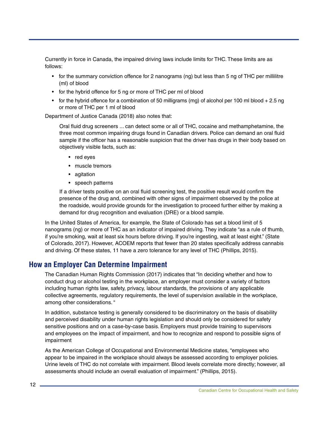Currently in force in Canada, the impaired driving laws include limits for THC. These limits are as follows:

- for the summary conviction offence for 2 nanograms (ng) but less than 5 ng of THC per millilitre (ml) of blood
- for the hybrid offence for 5 ng or more of THC per ml of blood
- for the hybrid offence for a combination of 50 milligrams (mg) of alcohol per 100 ml blood + 2.5 ng or more of THC per 1 ml of blood

Department of Justice Canada (2018) also notes that:

Oral fluid drug screeners ... can detect some or all of THC, cocaine and methamphetamine, the three most common impairing drugs found in Canadian drivers. Police can demand an oral fluid sample if the officer has a reasonable suspicion that the driver has drugs in their body based on objectively visible facts, such as:

- red eyes
- muscle tremors
- agitation
- speech patterns

If a driver tests positive on an oral fluid screening test, the positive result would confirm the presence of the drug and, combined with other signs of impairment observed by the police at the roadside, would provide grounds for the investigation to proceed further either by making a demand for drug recognition and evaluation (DRE) or a blood sample.

In the United States of America, for example, the State of Colorado has set a blood limit of 5 nanograms (ng) or more of THC as an indicator of impaired driving. They indicate "as a rule of thumb, if you're smoking, wait at least six hours before driving. If you're ingesting, wait at least eight." (State of Colorado, 2017). However, ACOEM reports that fewer than 20 states specifically address cannabis and driving. Of these states, 11 have a zero tolerance for any level of THC (Phillips, 2015).

### **How an Employer Can Determine Impairment**

The Canadian Human Rights Commission (2017) indicates that "In deciding whether and how to conduct drug or alcohol testing in the workplace, an employer must consider a variety of factors including human rights law, safety, privacy, labour standards, the provisions of any applicable collective agreements, regulatory requirements, the level of supervision available in the workplace, among other considerations. "

In addition, substance testing is generally considered to be discriminatory on the basis of disability and perceived disability under human rights legislation and should only be considered for safety sensitive positions and on a case-by-case basis. Employers must provide training to supervisors and employees on the impact of impairment, and how to recognize and respond to possible signs of impairment

As the American College of Occupational and Environmental Medicine states, "employees who appear to be impaired in the workplace should always be assessed according to employer policies. Urine levels of THC do not correlate with impairment. Blood levels correlate more directly; however, all assessments should include an overall evaluation of impairment." (Phillips, 2015).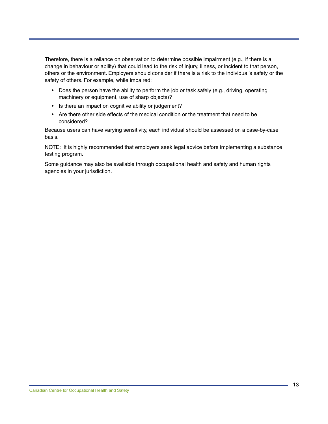Therefore, there is a reliance on observation to determine possible impairment (e.g., if there is a change in behaviour or ability) that could lead to the risk of injury, illness, or incident to that person, others or the environment. Employers should consider if there is a risk to the individual's safety or the safety of others. For example, while impaired:

- Does the person have the ability to perform the job or task safely (e.g., driving, operating machinery or equipment, use of sharp objects)?
- Is there an impact on cognitive ability or judgement?
- Are there other side effects of the medical condition or the treatment that need to be considered?

Because users can have varying sensitivity, each individual should be assessed on a case-by-case basis.

NOTE: It is highly recommended that employers seek legal advice before implementing a substance testing program.

Some guidance may also be available through occupational health and safety and human rights agencies in your jurisdiction.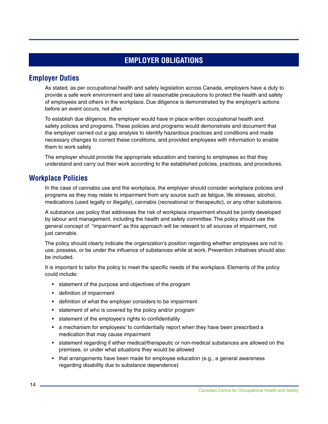# **EMPLOYER OBLIGATIONS**

### <span id="page-17-0"></span>**Employer Duties**

As stated, as per occupational health and safety legislation across Canada, employers have a duty to provide a safe work environment and take all reasonable precautions to protect the health and safety of employees and others in the workplace. Due diligence is demonstrated by the employer's actions before an event occurs, not after.

To establish due diligence, the employer would have in place written occupational health and safety policies and programs. These policies and programs would demonstrate and document that the employer carried out a gap analysis to identify hazardous practices and conditions and made necessary changes to correct these conditions, and provided employees with information to enable them to work safely.

The employer should provide the appropriate education and training to employees so that they understand and carry out their work according to the established policies, practices, and procedures.

#### **Workplace Policies**

In the case of cannabis use and the workplace, the employer should consider workplace policies and programs as they may relate to impairment from any source such as fatigue, life stresses, alcohol, medications (used legally or illegally), cannabis (recreational or therapeutic), or any other substance.

A substance use policy that addresses the risk of workplace impairment should be jointly developed by labour and management, including the health and safety committee. The policy should use the general concept of "impairment" as this approach will be relevant to all sources of impairment, not just cannabis.

The policy should clearly indicate the organization's position regarding whether employees are not to use, possess, or be under the influence of substances while at work. Prevention initiatives should also be included.

It is important to tailor the policy to meet the specific needs of the workplace. Elements of the policy could include:

- statement of the purpose and objectives of the program
- definition of impairment
- definition of what the employer considers to be impairment
- statement of who is covered by the policy and/or program
- statement of the employee's rights to confidentiality
- a mechanism for employees' to confidentially report when they have been prescribed a medication that may cause impairment
- statement regarding if either medical/therapeutic or non-medical substances are allowed on the premises, or under what situations they would be allowed
- that arrangements have been made for employee education (e.g., a general awareness regarding disability due to substance dependence)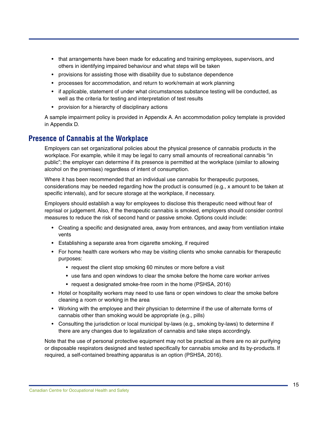- <span id="page-18-0"></span>• that arrangements have been made for educating and training employees, supervisors, and others in identifying impaired behaviour and what steps will be taken
- provisions for assisting those with disability due to substance dependence
- processes for accommodation, and return to work/remain at work planning
- if applicable, statement of under what circumstances substance testing will be conducted, as well as the criteria for testing and interpretation of test results
- provision for a hierarchy of disciplinary actions

A sample impairment policy is provided in Appendix A. An accommodation policy template is provided in Appendix D.

#### **Presence of Cannabis at the Workplace**

Employers can set organizational policies about the physical presence of cannabis products in the workplace. For example, while it may be legal to carry small amounts of recreational cannabis "in public"; the employer can determine if its presence is permitted at the workplace (similar to allowing alcohol on the premises) regardless of intent of consumption.

Where it has been recommended that an individual use cannabis for therapeutic purposes, considerations may be needed regarding how the product is consumed (e.g., x amount to be taken at specific intervals), and for secure storage at the workplace, if necessary.

Employers should establish a way for employees to disclose this therapeutic need without fear of reprisal or judgement. Also, if the therapeutic cannabis is smoked, employers should consider control measures to reduce the risk of second hand or passive smoke. Options could include:

- Creating a specific and designated area, away from entrances, and away from ventilation intake vents
- Establishing a separate area from cigarette smoking, if required
- For home health care workers who may be visiting clients who smoke cannabis for therapeutic purposes:
	- request the client stop smoking 60 minutes or more before a visit
	- use fans and open windows to clear the smoke before the home care worker arrives
	- request a designated smoke-free room in the home (PSHSA, 2016)
- Hotel or hospitality workers may need to use fans or open windows to clear the smoke before cleaning a room or working in the area
- Working with the employee and their physician to determine if the use of alternate forms of cannabis other than smoking would be appropriate (e.g., pills)
- Consulting the jurisdiction or local municipal by-laws (e.g., smoking by-laws) to determine if there are any changes due to legalization of cannabis and take steps accordingly.

Note that the use of personal protective equipment may not be practical as there are no air purifying or disposable respirators designed and tested specifically for cannabis smoke and its by-products. If required, a self-contained breathing apparatus is an option (PSHSA, 2016).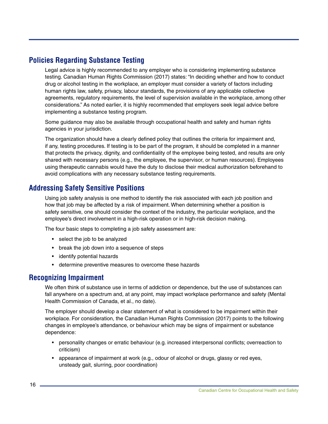## <span id="page-19-0"></span>**Policies Regarding Substance Testing**

Legal advice is highly recommended to any employer who is considering implementing substance testing. Canadian Human Rights Commission (2017) states: "In deciding whether and how to conduct drug or alcohol testing in the workplace, an employer must consider a variety of factors including human rights law, safety, privacy, labour standards, the provisions of any applicable collective agreements, regulatory requirements, the level of supervision available in the workplace, among other considerations." As noted earlier, it is highly recommended that employers seek legal advice before implementing a substance testing program.

Some guidance may also be available through occupational health and safety and human rights agencies in your jurisdiction.

The organization should have a clearly defined policy that outlines the criteria for impairment and, if any, testing procedures. If testing is to be part of the program, it should be completed in a manner that protects the privacy, dignity, and confidentiality of the employee being tested, and results are only shared with necessary persons (e.g., the employee, the supervisor, or human resources). Employees using therapeutic cannabis would have the duty to disclose their medical authorization beforehand to avoid complications with any necessary substance testing requirements.

### **Addressing Safety Sensitive Positions**

Using job safety analysis is one method to identify the risk associated with each job position and how that job may be affected by a risk of impairment. When determining whether a position is safety sensitive, one should consider the context of the industry, the particular workplace, and the employee's direct involvement in a high-risk operation or in high-risk decision making.

The four basic steps to completing a job safety assessment are:

- select the job to be analyzed
- break the job down into a sequence of steps
- identify potential hazards
- determine preventive measures to overcome these hazards

#### **Recognizing Impairment**

We often think of substance use in terms of addiction or dependence, but the use of substances can fall anywhere on a spectrum and, at any point, may impact workplace performance and safety (Mental Health Commission of Canada, et al., no date).

The employer should develop a clear statement of what is considered to be impairment within their workplace. For consideration, the Canadian Human Rights Commission (2017) points to the following changes in employee's attendance, or behaviour which may be signs of impairment or substance dependence:

- personality changes or erratic behaviour (e.g. increased interpersonal conflicts; overreaction to criticism)
- appearance of impairment at work (e.g., odour of alcohol or drugs, glassy or red eyes, unsteady gait, slurring, poor coordination)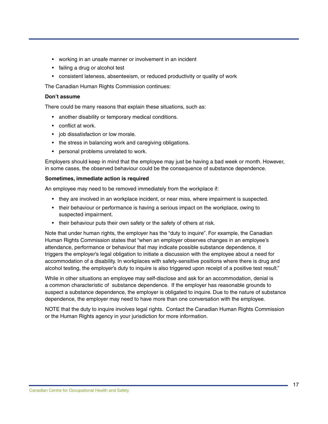- working in an unsafe manner or involvement in an incident
- failing a drug or alcohol test
- consistent lateness, absenteeism, or reduced productivity or quality of work

The Canadian Human Rights Commission continues:

#### **Don't assume**

There could be many reasons that explain these situations, such as:

- another disability or temporary medical conditions.
- conflict at work.
- job dissatisfaction or low morale.
- the stress in balancing work and caregiving obligations.
- personal problems unrelated to work.

Employers should keep in mind that the employee may just be having a bad week or month. However, in some cases, the observed behaviour could be the consequence of substance dependence.

#### **Sometimes, immediate action is required**

An employee may need to be removed immediately from the workplace if:

- they are involved in an workplace incident, or near miss, where impairment is suspected.
- their behaviour or performance is having a serious impact on the workplace, owing to suspected impairment.
- their behaviour puts their own safety or the safety of others at risk.

Note that under human rights, the employer has the "duty to inquire". For example, the Canadian Human Rights Commission states that "when an employer observes changes in an employee's attendance, performance or behaviour that may indicate possible substance dependence, it triggers the employer's legal obligation to initiate a discussion with the employee about a need for accommodation of a disability. In workplaces with safety-sensitive positions where there is drug and alcohol testing, the employer's duty to inquire is also triggered upon receipt of a positive test result."

While in other situations an employee may self-disclose and ask for an accommodation, denial is a common characteristic of substance dependence. If the employer has reasonable grounds to suspect a substance dependence, the employer is obligated to inquire. Due to the nature of substance dependence, the employer may need to have more than one conversation with the employee.

NOTE that the duty to inquire involves legal rights. Contact the Canadian Human Rights Commission or the Human Rights agency in your jurisdiction for more information.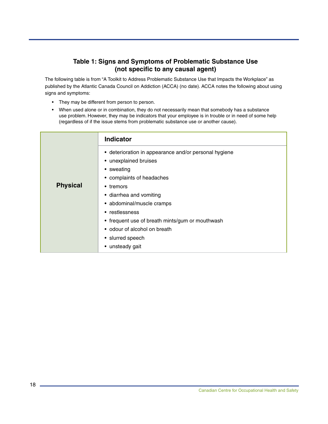#### **Table 1: Signs and Symptoms of Problematic Substance Use (not specific to any causal agent)**

The following table is from "A Toolkit to Address Problematic Substance Use that Impacts the Workplace" as published by the Atlantic Canada Council on Addiction (ACCA) (no date). ACCA notes the following about using signs and symptoms:

- They may be different from person to person.
- When used alone or in combination, they do not necessarily mean that somebody has a substance use problem. However, they may be indicators that your employee is in trouble or in need of some help (regardless of if the issue stems from problematic substance use or another cause).

|                 | <b>Indicator</b>                                                                                                                                                                                                                                                                                    |
|-----------------|-----------------------------------------------------------------------------------------------------------------------------------------------------------------------------------------------------------------------------------------------------------------------------------------------------|
| <b>Physical</b> | • deterioration in appearance and/or personal hygiene<br>• unexplained bruises<br>• sweating<br>• complaints of headaches<br>• tremors<br>• diarrhea and vomiting<br>• abdominal/muscle cramps<br>• restlessness<br>• frequent use of breath mints/gum or mouthwash<br>• odour of alcohol on breath |
|                 | • slurred speech<br>• unsteady gait                                                                                                                                                                                                                                                                 |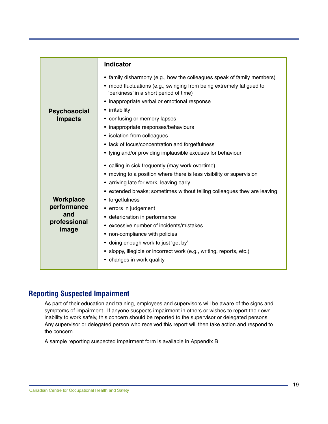<span id="page-22-0"></span>

|                                                          | Indicator                                                                                                                                                                                                                                                                                                                                                                                                                                                                                                                                                |
|----------------------------------------------------------|----------------------------------------------------------------------------------------------------------------------------------------------------------------------------------------------------------------------------------------------------------------------------------------------------------------------------------------------------------------------------------------------------------------------------------------------------------------------------------------------------------------------------------------------------------|
| <b>Psychosocial</b><br><b>Impacts</b>                    | • family disharmony (e.g., how the colleagues speak of family members)<br>• mood fluctuations (e.g., swinging from being extremely fatigued to<br>'perkiness' in a short period of time)<br>• inappropriate verbal or emotional response<br>• irritability<br>• confusing or memory lapses<br>• inappropriate responses/behaviours<br>• isolation from colleagues<br>• lack of focus/concentration and forgetfulness<br>• lying and/or providing implausible excuses for behaviour                                                                       |
| Workplace<br>performance<br>and<br>professional<br>image | • calling in sick frequently (may work overtime)<br>• moving to a position where there is less visibility or supervision<br>• arriving late for work, leaving early<br>• extended breaks; sometimes without telling colleagues they are leaving<br>• forgetfulness<br>• errors in judgement<br>• deterioration in performance<br>• excessive number of incidents/mistakes<br>• non-compliance with policies<br>• doing enough work to just 'get by'<br>• sloppy, illegible or incorrect work (e.g., writing, reports, etc.)<br>• changes in work quality |

### **Reporting Suspected Impairment**

As part of their education and training, employees and supervisors will be aware of the signs and symptoms of impairment. If anyone suspects impairment in others or wishes to report their own inability to work safely, this concern should be reported to the supervisor or delegated persons. Any supervisor or delegated person who received this report will then take action and respond to the concern.

A sample reporting suspected impairment form is available in Appendix B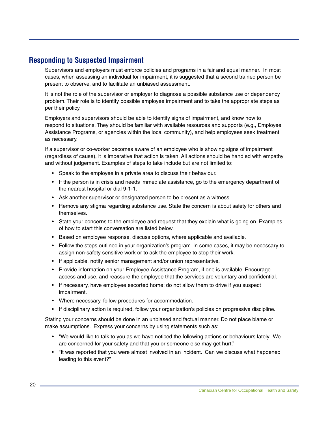### <span id="page-23-0"></span>**Responding to Suspected Impairment**

Supervisors and employers must enforce policies and programs in a fair and equal manner. In most cases, when assessing an individual for impairment, it is suggested that a second trained person be present to observe, and to facilitate an unbiased assessment.

It is not the role of the supervisor or employer to diagnose a possible substance use or dependency problem. Their role is to identify possible employee impairment and to take the appropriate steps as per their policy.

Employers and supervisors should be able to identify signs of impairment, and know how to respond to situations. They should be familiar with available resources and supports (e.g., Employee Assistance Programs, or agencies within the local community), and help employees seek treatment as necessary.

If a supervisor or co-worker becomes aware of an employee who is showing signs of impairment (regardless of cause), it is imperative that action is taken. All actions should be handled with empathy and without judgement. Examples of steps to take include but are not limited to:

- Speak to the employee in a private area to discuss their behaviour.
- If the person is in crisis and needs immediate assistance, go to the emergency department of the nearest hospital or dial 9-1-1.
- Ask another supervisor or designated person to be present as a witness.
- Remove any stigma regarding substance use. State the concern is about safety for others and themselves.
- State your concerns to the employee and request that they explain what is going on. Examples of how to start this conversation are listed below.
- Based on employee response, discuss options, where applicable and available.
- Follow the steps outlined in your organization's program. In some cases, it may be necessary to assign non-safety sensitive work or to ask the employee to stop their work.
- If applicable, notify senior management and/or union representative.
- Provide information on your Employee Assistance Program, if one is available. Encourage access and use, and reassure the employee that the services are voluntary and confidential.
- If necessary, have employee escorted home; do not allow them to drive if you suspect impairment.
- Where necessary, follow procedures for accommodation.
- If disciplinary action is required, follow your organization's policies on progressive discipline.

Stating your concerns should be done in an unbiased and factual manner. Do not place blame or make assumptions. Express your concerns by using statements such as:

- "We would like to talk to you as we have noticed the following actions or behaviours lately. We are concerned for your safety and that you or someone else may get hurt."
- "It was reported that you were almost involved in an incident. Can we discuss what happened leading to this event?"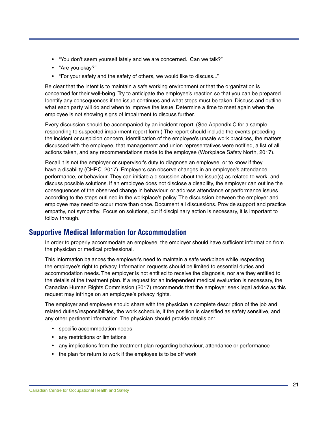- <span id="page-24-0"></span>• "You don't seem yourself lately and we are concerned. Can we talk?"
- "Are you okay?"
- "For your safety and the safety of others, we would like to discuss..."

Be clear that the intent is to maintain a safe working environment or that the organization is concerned for their well-being. Try to anticipate the employee's reaction so that you can be prepared. Identify any consequences if the issue continues and what steps must be taken. Discuss and outline what each party will do and when to improve the issue. Determine a time to meet again when the employee is not showing signs of impairment to discuss further.

Every discussion should be accompanied by an incident report. (See Appendix C for a sample responding to suspected impairment report form.) The report should include the events preceding the incident or suspicion concern, identification of the employee's unsafe work practices, the matters discussed with the employee, that management and union representatives were notified, a list of all actions taken, and any recommendations made to the employee (Workplace Safety North, 2017).

Recall it is not the employer or supervisor's duty to diagnose an employee, or to know if they have a disability (CHRC, 2017). Employers can observe changes in an employee's attendance, performance, or behaviour. They can initiate a discussion about the issue(s) as related to work, and discuss possible solutions. If an employee does not disclose a disability, the employer can outline the consequences of the observed change in behaviour, or address attendance or performance issues according to the steps outlined in the workplace's policy. The discussion between the employer and employee may need to occur more than once. Document all discussions. Provide support and practice empathy, not sympathy. Focus on solutions, but if disciplinary action is necessary, it is important to follow through.

### **Supportive Medical Information for Accommodation**

In order to properly accommodate an employee, the employer should have sufficient information from the physician or medical professional.

This information balances the employer's need to maintain a safe workplace while respecting the employee's right to privacy. Information requests should be limited to essential duties and accommodation needs. The employer is not entitled to receive the diagnosis, nor are they entitled to the details of the treatment plan. If a request for an independent medical evaluation is necessary, the Canadian Human Rights Commission (2017) recommends that the employer seek legal advice as this request may infringe on an employee's privacy rights.

The employer and employee should share with the physician a complete description of the job and related duties/responsibilities, the work schedule, if the position is classified as safety sensitive, and any other pertinent information. The physician should provide details on:

- specific accommodation needs
- any restrictions or limitations
- any implications from the treatment plan regarding behaviour, attendance or performance
- the plan for return to work if the employee is to be off work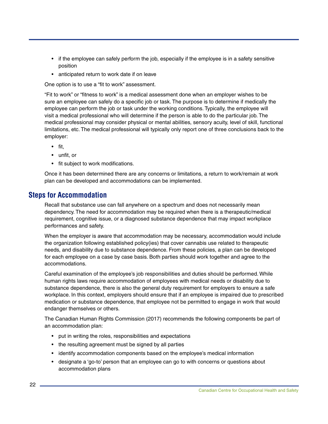- <span id="page-25-0"></span>• if the employee can safely perform the job, especially if the employee is in a safety sensitive position
- anticipated return to work date if on leave

One option is to use a "fit to work" assessment.

"Fit to work" or "fitness to work" is a medical assessment done when an employer wishes to be sure an employee can safely do a specific job or task. The purpose is to determine if medically the employee can perform the job or task under the working conditions. Typically, the employee will visit a medical professional who will determine if the person is able to do the particular job. The medical professional may consider physical or mental abilities, sensory acuity, level of skill, functional limitations, etc. The medical professional will typically only report one of three conclusions back to the employer:

- fit,
- unfit, or
- fit subject to work modifications.

Once it has been determined there are any concerns or limitations, a return to work/remain at work plan can be developed and accommodations can be implemented.

#### **Steps for Accommodation**

Recall that substance use can fall anywhere on a spectrum and does not necessarily mean dependency. The need for accommodation may be required when there is a therapeutic/medical requirement, cognitive issue, or a diagnosed substance dependence that may impact workplace performances and safety.

When the employer is aware that accommodation may be necessary, accommodation would include the organization following established policy(ies) that cover cannabis use related to therapeutic needs, and disability due to substance dependence. From these policies, a plan can be developed for each employee on a case by case basis. Both parties should work together and agree to the accommodations.

Careful examination of the employee's job responsibilities and duties should be performed. While human rights laws require accommodation of employees with medical needs or disability due to substance dependence, there is also the general duty requirement for employers to ensure a safe workplace. In this context, employers should ensure that if an employee is impaired due to prescribed medication or substance dependence, that employee not be permitted to engage in work that would endanger themselves or others.

The Canadian Human Rights Commission (2017) recommends the following components be part of an accommodation plan:

- put in writing the roles, responsibilities and expectations
- the resulting agreement must be signed by all parties
- identify accommodation components based on the employee's medical information
- designate a 'go-to' person that an employee can go to with concerns or questions about accommodation plans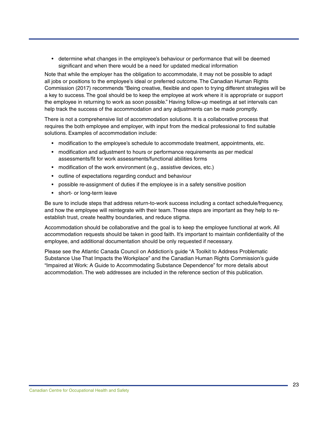• determine what changes in the employee's behaviour or performance that will be deemed significant and when there would be a need for updated medical information

Note that while the employer has the obligation to accommodate, it may not be possible to adapt all jobs or positions to the employee's ideal or preferred outcome. The Canadian Human Rights Commission (2017) recommends "Being creative, flexible and open to trying different strategies will be a key to success. The goal should be to keep the employee at work where it is appropriate or support the employee in returning to work as soon possible." Having follow-up meetings at set intervals can help track the success of the accommodation and any adjustments can be made promptly.

There is not a comprehensive list of accommodation solutions. It is a collaborative process that requires the both employee and employer, with input from the medical professional to find suitable solutions. Examples of accommodation include:

- modification to the employee's schedule to accommodate treatment, appointments, etc.
- modification and adjustment to hours or performance requirements as per medical assessments/fit for work assessments/functional abilities forms
- modification of the work environment (e.g., assistive devices, etc.)
- outline of expectations regarding conduct and behaviour
- possible re-assignment of duties if the employee is in a safety sensitive position
- short- or long-term leave

Be sure to include steps that address return-to-work success including a contact schedule/frequency, and how the employee will reintegrate with their team. These steps are important as they help to reestablish trust, create healthy boundaries, and reduce stigma.

Accommodation should be collaborative and the goal is to keep the employee functional at work. All accommodation requests should be taken in good faith. It's important to maintain confidentiality of the employee, and additional documentation should be only requested if necessary.

Please see the Atlantic Canada Council on Addiction's guide "A Toolkit to Address Problematic Substance Use That Impacts the Workplace" and the Canadian Human Rights Commission's guide "Impaired at Work: A Guide to Accommodating Substance Dependence" for more details about accommodation. The web addresses are included in the reference section of this publication.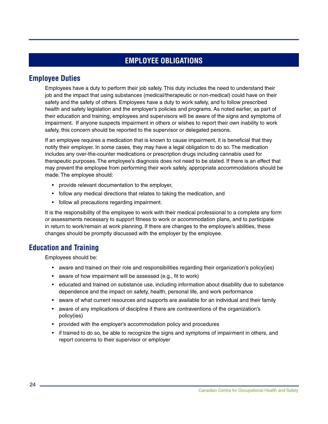## **EMPLOYEE OBLIGATIONS**

### <span id="page-27-0"></span>**Employee Duties**

Employees have a duty to perform their job safely. This duty includes the need to understand their job and the impact that using substances (medical/therapeutic or non-medical) could have on their safety and the safety of others. Employees have a duty to work safely, and to follow prescribed health and safety legislation and the employer's policies and programs. As noted earlier, as part of their education and training, employees and supervisors will be aware of the signs and symptoms of impairment. If anyone suspects impairment in others or wishes to report their own inability to work safely, this concern should be reported to the supervisor or delegated persons.

If an employee requires a medication that is known to cause impairment, it is beneficial that they notify their employer. In some cases, they may have a legal obligation to do so. The medication includes any over-the-counter medications or prescription drugs including cannabis used for therapeutic purposes. The employee's diagnosis does not need to be stated. If there is an effect that may prevent the employee from performing their work safely, appropriate accommodations should be made. The employee should:

- provide relevant documentation to the employer,
- follow any medical directions that relates to taking the medication, and
- follow all precautions regarding impairment.

It is the responsibility of the employee to work with their medical professional to a complete any form or assessments necessary to support fitness to work or accommodation plans, and to participate in return to work/remain at work planning. If there are changes to the employee's abilities, these changes should be promptly discussed with the employer by the employee.

#### **Education and Training**

Employees should be:

- aware and trained on their role and responsibilities regarding their organization's policy(ies)
- aware of how impairment will be assessed (e.g., fit to work)
- educated and trained on substance use, including information about disability due to substance dependence and the impact on safety, health, personal life, and work performance
- aware of what current resources and supports are available for an individual and their family
- aware of any implications of discipline if there are contraventions of the organization's policy(ies)
- provided with the employer's accommodation policy and procedures
- if trained to do so, be able to recognize the signs and symptoms of impairment in others, and report concerns to their supervisor or employer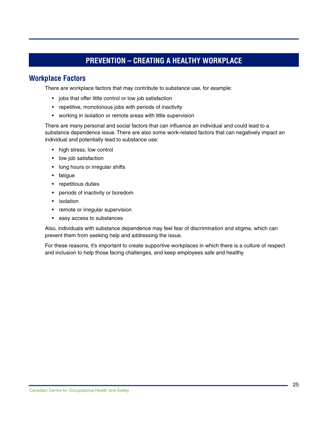# **PREVENTION – CREATING A HEALTHY WORKPLACE**

### <span id="page-28-0"></span>**Workplace Factors**

There are workplace factors that may contribute to substance use, for example:

- jobs that offer little control or low job satisfaction
- repetitive, monotonous jobs with periods of inactivity
- working in isolation or remote areas with little supervision

There are many personal and social factors that can influence an individual and could lead to a substance dependence issue. There are also some work-related factors that can negatively impact an individual and potentially lead to substance use:

- high stress, low control
- low job satisfaction
- long hours or irregular shifts
- fatigue
- repetitious duties
- periods of inactivity or boredom
- isolation
- remote or irregular supervision
- easy access to substances

Also, individuals with substance dependence may feel fear of discrimination and stigma, which can prevent them from seeking help and addressing the issue.

For these reasons, it's important to create supportive workplaces in which there is a culture of respect and inclusion to help those facing challenges, and keep employees safe and healthy.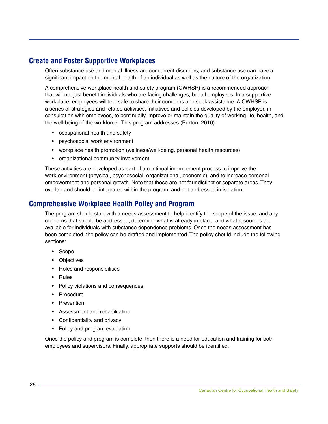### <span id="page-29-0"></span>**Create and Foster Supportive Workplaces**

Often substance use and mental illness are concurrent disorders, and substance use can have a significant impact on the mental health of an individual as well as the culture of the organization.

A comprehensive workplace health and safety program (CWHSP) is a recommended approach that will not just benefit individuals who are facing challenges, but all employees. In a supportive workplace, employees will feel safe to share their concerns and seek assistance. A CWHSP is a series of strategies and related activities, initiatives and policies developed by the employer, in consultation with employees, to continually improve or maintain the quality of working life, health, and the well-being of the workforce. This program addresses (Burton, 2010):

- occupational health and safety
- psychosocial work environment
- workplace health promotion (wellness/well-being, personal health resources)
- organizational community involvement

These activities are developed as part of a continual improvement process to improve the work environment (physical, psychosocial, organizational, economic), and to increase personal empowerment and personal growth. Note that these are not four distinct or separate areas. They overlap and should be integrated within the program, and not addressed in isolation.

### **Comprehensive Workplace Health Policy and Program**

The program should start with a needs assessment to help identify the scope of the issue, and any concerns that should be addressed, determine what is already in place, and what resources are available for individuals with substance dependence problems. Once the needs assessment has been completed, the policy can be drafted and implemented. The policy should include the following sections:

- Scope
- Objectives
- Roles and responsibilities
- Rules
- Policy violations and consequences
- Procedure
- Prevention
- Assessment and rehabilitation
- Confidentiality and privacy
- Policy and program evaluation

Once the policy and program is complete, then there is a need for education and training for both employees and supervisors. Finally, appropriate supports should be identified.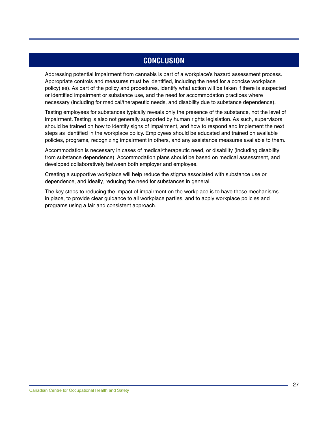### **CONCLUSION**

<span id="page-30-0"></span>Addressing potential impairment from cannabis is part of a workplace's hazard assessment process. Appropriate controls and measures must be identified, including the need for a concise workplace policy(ies). As part of the policy and procedures, identify what action will be taken if there is suspected or identified impairment or substance use, and the need for accommodation practices where necessary (including for medical/therapeutic needs, and disability due to substance dependence).

Testing employees for substances typically reveals only the presence of the substance, not the level of impairment. Testing is also not generally supported by human rights legislation. As such, supervisors should be trained on how to identify signs of impairment, and how to respond and implement the next steps as identified in the workplace policy. Employees should be educated and trained on available policies, programs, recognizing impairment in others, and any assistance measures available to them.

Accommodation is necessary in cases of medical/therapeutic need, or disability (including disability from substance dependence). Accommodation plans should be based on medical assessment, and developed collaboratively between both employer and employee.

Creating a supportive workplace will help reduce the stigma associated with substance use or dependence, and ideally, reducing the need for substances in general.

The key steps to reducing the impact of impairment on the workplace is to have these mechanisms in place, to provide clear guidance to all workplace parties, and to apply workplace policies and programs using a fair and consistent approach.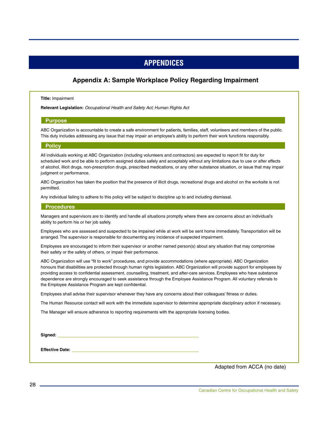# **APPENDICES**

#### **Appendix A: Sample Workplace Policy Regarding Impairment**

#### <span id="page-31-0"></span>**Title:** Impairment

**Relevant Legislation:** *Occupational Health and Safety Act; Human Rights Act*

#### **Purpose**

ABC Organization is accountable to create a safe environment for patients, families, staff, volunteers and members of the public. This duty includes addressing any issue that may impair an employee's ability to perform their work functions responsibly.

#### **Policy**

All individuals working at ABC Organization (including volunteers and contractors) are expected to report fit for duty for scheduled work and be able to perform assigned duties safely and acceptably without any limitations due to use or after effects of alcohol, illicit drugs, non-prescription drugs, prescribed medications, or any other substance situation, or issue that may impair judgment or performance.

ABC Organization has taken the position that the presence of illicit drugs, recreational drugs and alcohol on the worksite is not permitted.

Any individual failing to adhere to this policy will be subject to discipline up to and including dismissal.

#### **Procedures**

Managers and supervisors are to identify and handle all situations promptly where there are concerns about an individual's ability to perform his or her job safely.

Employees who are assessed and suspected to be impaired while at work will be sent home immediately. Transportation will be arranged. The supervisor is responsible for documenting any incidence of suspected impairment.

Employees are encouraged to inform their supervisor or another named person(s) about any situation that may compromise their safety or the safety of others, or impair their performance.

ABC Organization will use "fit to work" procedures, and provide accommodations (where appropriate). ABC Organization honours that disabilities are protected through human rights legislation. ABC Organization will provide support for employees by providing access to confidential assessment, counselling, treatment, and after-care services. Employees who have substance dependence are strongly encouraged to seek assistance through the Employee Assistance Program. All voluntary referrals to the Employee Assistance Program are kept confidential.

Employees shall advise their supervisor whenever they have any concerns about their colleagues' fitness or duties.

The Human Resource contact will work with the immediate supervisor to determine appropriate disciplinary action if necessary.

The Manager will ensure adherence to reporting requirements with the appropriate licensing bodies.

**Signed:**

**Effective Date:** 

Adapted from ACCA (no date)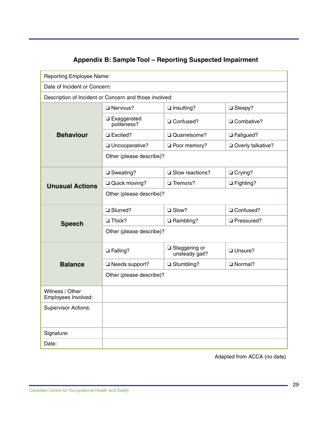### **Appendix B: Sample Tool – Reporting Suspected Impairment**

<span id="page-32-0"></span>

| <b>Reporting Employee Name:</b>                        |                              |                                   |                     |  |  |  |
|--------------------------------------------------------|------------------------------|-----------------------------------|---------------------|--|--|--|
| Date of Incident or Concern:                           |                              |                                   |                     |  |  |  |
| Description of Incident or Concern and those involved: |                              |                                   |                     |  |  |  |
| <b>Behaviour</b>                                       | Nervous?                     | Insulting?                        | □ Sleepy?           |  |  |  |
|                                                        | □ Exaggerated<br>politeness? | □ Confused?                       | □ Combative?        |  |  |  |
|                                                        | □ Excited?                   | Quarrelsome?                      | □ Fatigued?         |  |  |  |
|                                                        | Uncooperative?               | Poor memory?                      | Overly talkative?   |  |  |  |
|                                                        | Other (please describe)?     |                                   |                     |  |  |  |
|                                                        | □ Sweating?                  | □ Slow reactions?                 | □ Crying?           |  |  |  |
| <b>Unusual Actions</b>                                 | Quick moving?                | $\Box$ Tremors?                   | $\Box$ Fighting?    |  |  |  |
|                                                        | Other (please describe)?     |                                   |                     |  |  |  |
| <b>Speech</b>                                          | □ Slurred?                   | □ Slow?                           | □ Confused?         |  |  |  |
|                                                        | $\Box$ Thick?                | Rambling?                         | <b>Q</b> Pressured? |  |  |  |
|                                                        | Other (please describe)?     |                                   |                     |  |  |  |
| <b>Balance</b>                                         | <b>D</b> Falling?            | □ Staggering or<br>unsteady gait? | Unsure?             |  |  |  |
|                                                        | Needs support?               | □ Stumbling?                      | $\Box$ Normal?      |  |  |  |
|                                                        | Other (please describe)?     |                                   |                     |  |  |  |
| Witness / Other<br>Employees Involved:                 |                              |                                   |                     |  |  |  |
| <b>Supervisor Actions:</b>                             |                              |                                   |                     |  |  |  |
| Signature:                                             |                              |                                   |                     |  |  |  |
| Date:                                                  |                              |                                   |                     |  |  |  |

Adapted from ACCA (no date)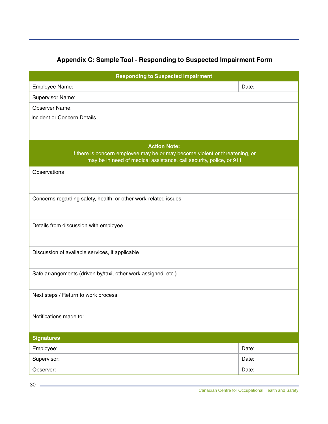# **Appendix C: Sample Tool - Responding to Suspected Impairment Form**

<span id="page-33-0"></span>

| <b>Responding to Suspected Impairment</b>                                                                                                                                  |       |  |  |  |  |
|----------------------------------------------------------------------------------------------------------------------------------------------------------------------------|-------|--|--|--|--|
| Employee Name:                                                                                                                                                             | Date: |  |  |  |  |
| Supervisor Name:                                                                                                                                                           |       |  |  |  |  |
| Observer Name:                                                                                                                                                             |       |  |  |  |  |
| Incident or Concern Details                                                                                                                                                |       |  |  |  |  |
|                                                                                                                                                                            |       |  |  |  |  |
| <b>Action Note:</b><br>If there is concern employee may be or may become violent or threatening, or<br>may be in need of medical assistance, call security, police, or 911 |       |  |  |  |  |
| <b>Observations</b>                                                                                                                                                        |       |  |  |  |  |
| Concerns regarding safety, health, or other work-related issues                                                                                                            |       |  |  |  |  |
| Details from discussion with employee                                                                                                                                      |       |  |  |  |  |
| Discussion of available services, if applicable                                                                                                                            |       |  |  |  |  |
| Safe arrangements (driven by/taxi, other work assigned, etc.)                                                                                                              |       |  |  |  |  |
| Next steps / Return to work process                                                                                                                                        |       |  |  |  |  |
| Notifications made to:                                                                                                                                                     |       |  |  |  |  |
| <b>Signatures</b>                                                                                                                                                          |       |  |  |  |  |
| Employee:                                                                                                                                                                  | Date: |  |  |  |  |
| Supervisor:                                                                                                                                                                | Date: |  |  |  |  |
| Observer:                                                                                                                                                                  | Date: |  |  |  |  |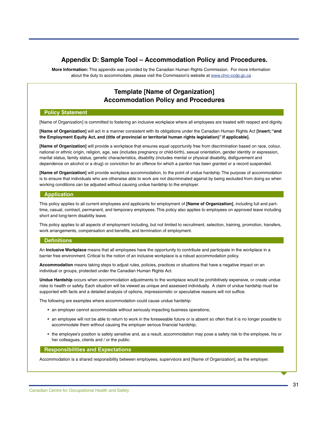#### <span id="page-34-0"></span>**Appendix D: Sample Tool – Accommodation Policy and Procedures.**

**More Information:** This appendix was provided by the Canadian Human Rights Commission. For more information about the duty to accommodate, please visit the Commission's website at [www.chrc-ccdp.gc.ca](http://www.chrc-ccdp.gc.ca)

#### **Template [Name of Organization] Accommodation Policy and Procedures**

#### **Policy Statement**

[Name of Organization] is committed to fostering an inclusive workplace where all employees are treated with respect and dignity.

**[Name of Organization]** will act in a manner consistent with its obligations under the Canadian Human Rights Act **[insert; "and the Employment Equity Act, and (title of provincial or territorial human rights legislation)" if applicable].**

**[Name of Organization]** will provide a workplace that ensures equal opportunity free from discrimination based on race, colour, national or ethnic origin, religion, age, sex (includes pregnancy or child-birth), sexual orientation, gender identity or expression, marital status, family status, genetic characteristics, disability (includes mental or physical disability, disfigurement and dependence on alcohol or a drug) or conviction for an offence for which a pardon has been granted or a record suspended.

**[Name of Organization]** will provide workplace accommodation, to the point of undue hardship. The purpose of accommodation is to ensure that individuals who are otherwise able to work are not discriminated against by being excluded from doing so when working conditions can be adjusted without causing undue hardship to the employer.

#### **Application**

This policy applies to all current employees and applicants for employment of **[Name of Organization]**, including full and parttime, casual, contract, permanent, and temporary employees. This policy also applies to employees on approved leave including short and long-term disability leave.

This policy applies to all aspects of employment including, but not limited to recruitment, selection, training, promotion, transfers, work arrangements, compensation and benefits, and termination of employment.

#### **Definitions**

An **Inclusive Workplace** means that all employees have the opportunity to contribute and participate in the workplace in a barrier free environment. Critical to the notion of an inclusive workplace is a robust accommodation policy.

**Accommodation** means taking steps to adjust rules, policies, practices or situations that have a negative impact on an individual or groups, protected under the Canadian Human Rights Act.

**Undue Hardship** occurs when accommodation adjustments to the workplace would be prohibitively expensive, or create undue risks to health or safety. Each situation will be viewed as unique and assessed individually. A claim of undue hardship must be supported with facts and a detailed analysis of options, impressionistic or speculative reasons will not suffice.

The following are examples where accommodation could cause undue hardship:

- an employer cannot accommodate without seriously impacting business operations;
- an employee will not be able to return to work in the foreseeable future or is absent so often that it is no longer possible to accommodate them without causing the employer serious financial hardship;
- the employee's position is safety sensitive and, as a result, accommodation may pose a safety risk to the employee, his or her colleagues, clients and / or the public.

#### **Responsibilities and Expectations**

Accommodation is a shared responsibility between employees, supervisors and [Name of Organization], as the employer.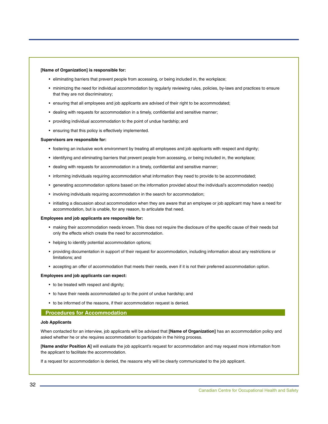#### **[Name of Organization] is responsible for:**

- eliminating barriers that prevent people from accessing, or being included in, the workplace;
- minimizing the need for individual accommodation by regularly reviewing rules, policies, by-laws and practices to ensure that they are not discriminatory;
- ensuring that all employees and job applicants are advised of their right to be accommodated;
- dealing with requests for accommodation in a timely, confidential and sensitive manner;
- providing individual accommodation to the point of undue hardship; and
- ensuring that this policy is effectively implemented.

#### **Supervisors are responsible for:**

- fostering an inclusive work environment by treating all employees and job applicants with respect and dignity;
- identifying and eliminating barriers that prevent people from accessing, or being included in, the workplace;
- dealing with requests for accommodation in a timely, confidential and sensitive manner;
- informing individuals requiring accommodation what information they need to provide to be accommodated;
- generating accommodation options based on the information provided about the individual's accommodation need(s)
- involving individuals requiring accommodation in the search for accommodation;
- initiating a discussion about accommodation when they are aware that an employee or job applicant may have a need for accommodation, but is unable, for any reason, to articulate that need.

#### **Employees and job applicants are responsible for:**

- making their accommodation needs known. This does not require the disclosure of the specific cause of their needs but only the effects which create the need for accommodation.
- helping to identify potential accommodation options;
- providing documentation in support of their request for accommodation, including information about any restrictions or limitations; and
- accepting an offer of accommodation that meets their needs, even if it is not their preferred accommodation option.

#### **Employees and job applicants can expect:**

- to be treated with respect and dignity;
- to have their needs accommodated up to the point of undue hardship; and
- to be informed of the reasons, if their accommodation request is denied.

#### **Procedures for Accommodation**

#### **Job Applicants**

When contacted for an interview, job applicants will be advised that **[Name of Organization]** has an accommodation policy and asked whether he or she requires accommodation to participate in the hiring process.

**[Name and/or Position A]** will evaluate the job applicant's request for accommodation and may request more information from the applicant to facilitate the accommodation.

If a request for accommodation is denied, the reasons why will be clearly communicated to the job applicant.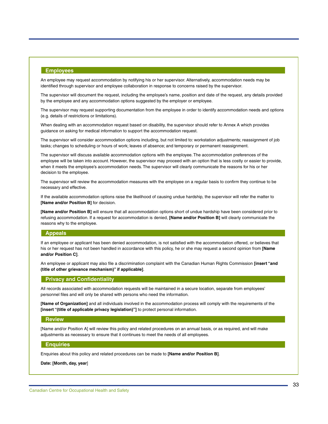#### **Employees**

An employee may request accommodation by notifying his or her supervisor. Alternatively, accommodation needs may be identified through supervisor and employee collaboration in response to concerns raised by the supervisor.

The supervisor will document the request, including the employee's name, position and date of the request, any details provided by the employee and any accommodation options suggested by the employer or employee.

The supervisor may request supporting documentation from the employee in order to identify accommodation needs and options (e.g. details of restrictions or limitations).

When dealing with an accommodation request based on disability, the supervisor should refer to Annex A which provides guidance on asking for medical information to support the accommodation request.

The supervisor will consider accommodation options including, but not limited to: workstation adjustments; reassignment of job tasks; changes to scheduling or hours of work; leaves of absence; and temporary or permanent reassignment.

The supervisor will discuss available accommodation options with the employee. The accommodation preferences of the employee will be taken into account. However, the supervisor may proceed with an option that is less costly or easier to provide, when it meets the employee's accommodation needs. The supervisor will clearly communicate the reasons for his or her decision to the employee.

The supervisor will review the accommodation measures with the employee on a regular basis to confirm they continue to be necessary and effective.

If the available accommodation options raise the likelihood of causing undue hardship, the supervisor will refer the matter to **[Name and/or Position B]** for decision.

**[Name and/or Position B]** will ensure that all accommodation options short of undue hardship have been considered prior to refusing accommodation. If a request for accommodation is denied, **[Name and/or Position B]** will clearly communicate the reasons why to the employee.

#### **Appeals**

If an employee or applicant has been denied accommodation, is not satisfied with the accommodation offered, or believes that his or her request has not been handled in accordance with this policy, he or she may request a second opinion from **[Name and/or Position C]**.

An employee or applicant may also file a discrimination complaint with the Canadian Human Rights Commission **[insert "and (title of other grievance mechanism)" if applicable]**.

#### **Privacy and Confidentiality**

All records associated with accommodation requests will be maintained in a secure location, separate from employees' personnel files and will only be shared with persons who need the information.

**[Name of Organization]** and all individuals involved in the accommodation process will comply with the requirements of the **[insert "(title of applicable privacy legislation)"]** to protect personal information.

#### **Review**

[Name and/or Position A] will review this policy and related procedures on an annual basis, or as required, and will make adjustments as necessary to ensure that it continues to meet the needs of all employees.

#### **Enquiries**

Enquiries about this policy and related procedures can be made to **[Name and/or Position B]**.

**Date: [Month, day, year**]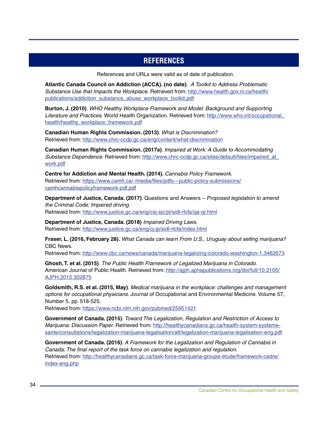### **REFERENCES**

References and URLs were valid as of date of publication.

<span id="page-37-0"></span>**Atlantic Canada Council on Addiction (ACCA). (no date)**. *A Toolkit to Address Problematic Substance Use that Impacts the Workplace.* Retrieved from: [http://www.health.gov.nl.ca/health/](http://www.health.gov.nl.ca/health/publications/addiction_substance_abuse_workplace_toolkit.pdf) [publications/addiction\\_substance\\_abuse\\_workplace\\_toolkit.pdf](http://www.health.gov.nl.ca/health/publications/addiction_substance_abuse_workplace_toolkit.pdf)

**Burton, J. (2010)**. *WHO Healthy Workplace Framework and Model: Background and Supporting Literature and Practices.* World Health Organization. Retrieved from: [http://www.who.int/occupational\\_](http://www.who.int/occupational_health/healthy_workplace_framework.pdf) [health/healthy\\_workplace\\_framework.pdf](http://www.who.int/occupational_health/healthy_workplace_framework.pdf)

**Canadian Human Rights Commission. (2013)**. *What is Discrimination?* Retrieved from:<http://www.chrc-ccdp.gc.ca/eng/content/what-discrimination>

**Canadian Human Rights Commission. (2017a)**. *Impaired at Work: A Guide to Accommodating Substance Dependence.* Retrieved from: [http://www.chrc-ccdp.gc.ca/sites/default/files/impaired\\_at\\_](http://www.chrc-ccdp.gc.ca/sites/default/files/impaired_at_work.pdf) [work.pdf](http://www.chrc-ccdp.gc.ca/sites/default/files/impaired_at_work.pdf)

**Centre for Addiction and Mental Health. (2014).** *Cannabis Policy Framework.* Retrieved from: https://www.camh.ca/-/media/files/pdfs---public-policy-submissions/ camhcannabispolicyframework-pdf.pdf

**Department of Justice, Canada. (2017)**. Questions and Answers – *Proposed legislation to amend the Criminal Code: Impaired driving.* Retrieved from:<http://www.justice.gc.ca/eng/csj-sjc/pl/sidl-rlcfa/qa-qr.html>

**Department of Justice, Canada. (2018)** *Impaired Driving Laws.* Retrieved from:<http://www.justice.gc.ca/eng/cj-jp/sidl-rlcfa/index.html>

**Fraser, L. (2016, February 28).** *What Canada can learn From U.S., Uruguay about selling marijuana?* CBC News.

Retrieved from:<http://www.cbc.ca/news/canada/marijuana-legalizing-colorado-washington-1.3462673>

**Ghosh, T. et al. (2015)**. *The Public Health Framework of Legalized Marijuana in Colorado.* American Journal of Public Health. Retrieved from: [http://ajph.aphapublications.org/doi/full/10.2105/](http://ajph.aphapublications.org/doi/full/10.2105/AJPH.2015.302875) [AJPH.2015.302875](http://ajph.aphapublications.org/doi/full/10.2105/AJPH.2015.302875)

**Goldsmith, R.S. et al. (2015, May)**. *Medical marijuana in the workplace: challenges and management options for occupational physicians.* Journal of Occupational and Environmental Medicine. Volume 57, Number 5, pp. 518-525.

Retrieved from:<https://www.ncbi.nlm.nih.gov/pubmed/25951421>

**Government of Canada. (2015)**. *Toward The Legalization, Regulation and Restriction of Access to Marijuana: Discussion Paper.* Retrieved from: [http://healthycanadians.gc.ca/health-system-systeme](http://healthycanadians.gc.ca/health-system-systeme-sante/consultations/legalization-marijuana-legalisation/alt/legalization-marijuana-legalisation-eng.pdf)[sante/consultations/legalization-marijuana-legalisation/alt/legalization-marijuana-legalisation-eng.pdf](http://healthycanadians.gc.ca/health-system-systeme-sante/consultations/legalization-marijuana-legalisation/alt/legalization-marijuana-legalisation-eng.pdf)

**Government of Canada. (2016)**. *A Framework for the Legalization and Regulation of Cannabis in Canada: The final report of the task force on cannabis legalization and regulation.* Retrieved from: [http://healthycanadians.gc.ca/task-force-marijuana-groupe-etude/framework-cadre/](http://healthycanadians.gc.ca/task-force-marijuana-groupe-etude/framework-cadre/index-eng.php) [index-eng.php](http://healthycanadians.gc.ca/task-force-marijuana-groupe-etude/framework-cadre/index-eng.php)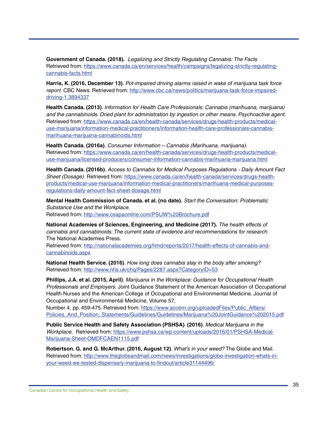**Government of Canada. (2018).** *Legalizing and Strictly Regulating Cannabis: The Facts* Retrieved from: https://www.canada.ca/en/services/health/campaigns/legalizing-strictly-regulatingcannabis-facts.html

**Harris, K. (2016, December 13)**. *Pot-impaired driving alarms raised in wake of marijuana task force report.* CBC News. Retrieved from: [http://www.cbc.ca/news/politics/marijuana-task-force-impaired](http://www.cbc.ca/news/politics/marijuana-task-force-impaired-driving-1.3894337)[driving-1.3894337](http://www.cbc.ca/news/politics/marijuana-task-force-impaired-driving-1.3894337)

**Health Canada. (2013)**. *Information for Health Care Professionals: Cannabis (marihuana, marijuana) and the cannabinoids. Dried plant for administration by ingestion or other means. Psychoactive agent.* Retrieved from: [https://www.canada.ca/en/health-canada/services/drugs-health-products/medical](https://www.canada.ca/en/health-canada/services/drugs-health-products/medical-use-marijuana/information-medical-practitioners/information-health-care-professionals-cannabis-marihuana-marijuana-cannabinoids.html)[use-marijuana/information-medical-practitioners/information-health-care-professionals-cannabis](https://www.canada.ca/en/health-canada/services/drugs-health-products/medical-use-marijuana/information-medical-practitioners/information-health-care-professionals-cannabis-marihuana-marijuana-cannabinoids.html)[marihuana-marijuana-cannabinoids.html](https://www.canada.ca/en/health-canada/services/drugs-health-products/medical-use-marijuana/information-medical-practitioners/information-health-care-professionals-cannabis-marihuana-marijuana-cannabinoids.html)

**Health Canada. (2016a)**. *Consumer Information – Cannabis (Marihuana, marijuana).* Retrieved from: [https://www.canada.ca/en/health-canada/services/drugs-health-products/medical](https://www.canada.ca/en/health-canada/services/drugs-health-products/medical-use-marijuana/licensed-producers/consumer-information-cannabis-marihuana-marijuana.html)[use-marijuana/licensed-producers/consumer-information-cannabis-marihuana-marijuana.html](https://www.canada.ca/en/health-canada/services/drugs-health-products/medical-use-marijuana/licensed-producers/consumer-information-cannabis-marihuana-marijuana.html) 

**Health Canada. (2016b)**. *Access to Cannabis for Medical Purposes Regulations - Daily Amount Fact Sheet (Dosage).* Retrieved from: [https://www.canada.ca/en/health-canada/services/drugs-health](https://www.canada.ca/en/health-canada/services/drugs-health-products/medical-use-marijuana/information-medical-practitioners/marihuana-medical-purposes-regulations-daily-amount-fact-sheet-dosage.html)[products/medical-use-marijuana/information-medical-practitioners/marihuana-medical-purposes](https://www.canada.ca/en/health-canada/services/drugs-health-products/medical-use-marijuana/information-medical-practitioners/marihuana-medical-purposes-regulations-daily-amount-fact-sheet-dosage.html)[regulations-daily-amount-fact-sheet-dosage.html](https://www.canada.ca/en/health-canada/services/drugs-health-products/medical-use-marijuana/information-medical-practitioners/marihuana-medical-purposes-regulations-daily-amount-fact-sheet-dosage.html)

**Mental Health Commission of Canada. et al. (no date).** *Start the Conversation: Problematic Substance Use and the Workplace.* 

Retrieved from:<http://www.ceapaonline.com/PSUW%20Brochure.pdf>

**National Academies of Sciences, Engineering, and Medicine (2017).** *The health effects of cannabis and cannabinoids: The current state of evidence and recommendations for research.*  The National Academies Press.

Retrieved from: http://nationalacademies.org/hmd/reports/2017/health-effects-of-cannabis-andcannabinoids.aspx

**National Health Service. (2016)**. *How long does cannabis stay in the body after smoking?* Retrieved from:<http://www.nhs.uk/chq/Pages/2287.aspx?CategoryID=53>

**Phillips, J.A. et al. (2015, April)**. *Marijuana in the Workplace: Guidance for Occupational Health Professionals and Employers.* Joint Guidance Statement of the American Association of Occupational Health Nurses and the American College of Occupational and Environmental Medicine. Journal of Occupational and Environmental Medicine, Volume 57,

Number 4, pp. 459-475. Retrieved from: [https://www.acoem.org/uploadedFiles/Public\\_Affairs/](https://www.acoem.org/uploadedFiles/Public_Affairs/Policies_And_Position_Statements/Guidelines/Guidelines/Marijuana%20JointGuidance%202015.pdf) [Policies\\_And\\_Position\\_Statements/Guidelines/Guidelines/Marijuana%20JointGuidance%202015.pdf](https://www.acoem.org/uploadedFiles/Public_Affairs/Policies_And_Position_Statements/Guidelines/Guidelines/Marijuana%20JointGuidance%202015.pdf)

**Public Service Health and Safety Association (PSHSA)**. **(2016)**. *Medical Marijuana in the Workplace.* Retrieved from: [https://www.pshsa.ca/wp-content/uploads/2016/01/PSHSA-Medical-](https://www.pshsa.ca/wp-content/uploads/2016/01/PSHSA-Medical-Marijuana-Sheet-OMDFCAEN1115.pdf )[Marijuana-Sheet-OMDFCAEN1115.pdf](https://www.pshsa.ca/wp-content/uploads/2016/01/PSHSA-Medical-Marijuana-Sheet-OMDFCAEN1115.pdf )

**Robertson. G. and G. McArthur. (2016, August 12)**. *What's in your weed?* The Globe and Mail. Retrieved from: [http://www.theglobeandmail.com/news/investigations/globe-investigation-whats-in](http://www.theglobeandmail.com/news/investigations/globe-investigation-whats-in-your-weed-we-tested-dispensary-marijuana-to-findout/article31144496/)[your-weed-we-tested-dispensary-marijuana-to-findout/article31144496/](http://www.theglobeandmail.com/news/investigations/globe-investigation-whats-in-your-weed-we-tested-dispensary-marijuana-to-findout/article31144496/)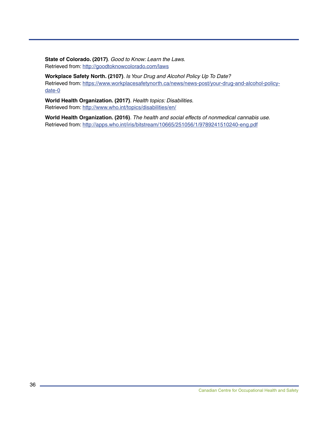**State of Colorado. (2017)**. *Good to Know: Learn the Laws.* Retrieved from:<http://goodtoknowcolorado.com/laws>

**Workplace Safety North. (2107)**. *Is Your Drug and Alcohol Policy Up To Date?* Retrieved from: [https://www.workplacesafetynorth.ca/news/news-post/your-drug-and-alcohol-policy](https://www.workplacesafetynorth.ca/news/news-post/your-drug-and-alcohol-policy-date-0)[date-0](https://www.workplacesafetynorth.ca/news/news-post/your-drug-and-alcohol-policy-date-0)

**World Health Organization. (2017)**. *Health topics: Disabilities.* Retrieved from:<http://www.who.int/topics/disabilities/en/>

**World Health Organization. (2016)**. *The health and social effects of nonmedical cannabis use.* Retrieved from:<http://apps.who.int/iris/bitstream/10665/251056/1/9789241510240-eng.pdf>